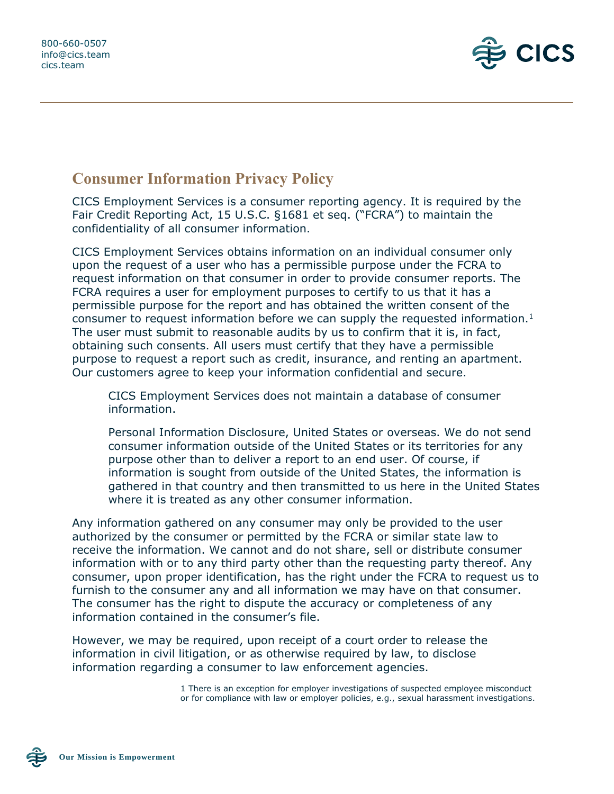

## **Consumer Information Privacy Policy**

CICS Employment Services is a consumer reporting agency. It is required by the Fair Credit Reporting Act, 15 U.S.C. §1681 et seq. ("FCRA") to maintain the confidentiality of all consumer information.

CICS Employment Services obtains information on an individual consumer only upon the request of a user who has a permissible purpose under the FCRA to request information on that consumer in order to provide consumer reports. The FCRA requires a user for employment purposes to certify to us that it has a permissible purpose for the report and has obtained the written consent of the consumer to request information before we can supply the requested information.<sup>1</sup> The user must submit to reasonable audits by us to confirm that it is, in fact, obtaining such consents. All users must certify that they have a permissible purpose to request a report such as credit, insurance, and renting an apartment. Our customers agree to keep your information confidential and secure.

CICS Employment Services does not maintain a database of consumer information.

Personal Information Disclosure, United States or overseas. We do not send consumer information outside of the United States or its territories for any purpose other than to deliver a report to an end user. Of course, if information is sought from outside of the United States, the information is gathered in that country and then transmitted to us here in the United States where it is treated as any other consumer information.

Any information gathered on any consumer may only be provided to the user authorized by the consumer or permitted by the FCRA or similar state law to receive the information. We cannot and do not share, sell or distribute consumer information with or to any third party other than the requesting party thereof. Any consumer, upon proper identification, has the right under the FCRA to request us to furnish to the consumer any and all information we may have on that consumer. The consumer has the right to dispute the accuracy or completeness of any information contained in the consumer's file.

However, we may be required, upon receipt of a court order to release the information in civil litigation, or as otherwise required by law, to disclose information regarding a consumer to law enforcement agencies.

> 1 There is an exception for employer investigations of suspected employee misconduct or for compliance with law or employer policies, e.g., sexual harassment investigations.